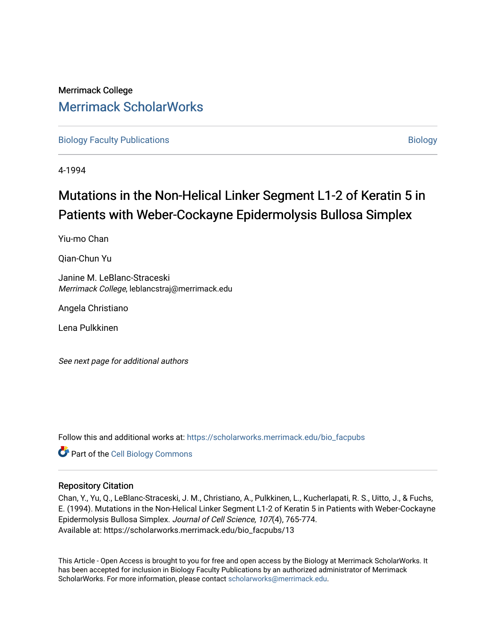# Merrimack College [Merrimack ScholarWorks](https://scholarworks.merrimack.edu/)

[Biology Faculty Publications](https://scholarworks.merrimack.edu/bio_facpubs) and the state of the state of the [Biology](https://scholarworks.merrimack.edu/bio) Biology

4-1994

# Mutations in the Non-Helical Linker Segment L1-2 of Keratin 5 in Patients with Weber-Cockayne Epidermolysis Bullosa Simplex

Yiu-mo Chan

Qian-Chun Yu

Janine M. LeBlanc-Straceski Merrimack College, leblancstraj@merrimack.edu

Angela Christiano

Lena Pulkkinen

See next page for additional authors

Follow this and additional works at: [https://scholarworks.merrimack.edu/bio\\_facpubs](https://scholarworks.merrimack.edu/bio_facpubs?utm_source=scholarworks.merrimack.edu%2Fbio_facpubs%2F13&utm_medium=PDF&utm_campaign=PDFCoverPages) 

Part of the [Cell Biology Commons](http://network.bepress.com/hgg/discipline/10?utm_source=scholarworks.merrimack.edu%2Fbio_facpubs%2F13&utm_medium=PDF&utm_campaign=PDFCoverPages) 

# Repository Citation

Chan, Y., Yu, Q., LeBlanc-Straceski, J. M., Christiano, A., Pulkkinen, L., Kucherlapati, R. S., Uitto, J., & Fuchs, E. (1994). Mutations in the Non-Helical Linker Segment L1-2 of Keratin 5 in Patients with Weber-Cockayne Epidermolysis Bullosa Simplex. Journal of Cell Science, 107(4), 765-774. Available at: https://scholarworks.merrimack.edu/bio\_facpubs/13

This Article - Open Access is brought to you for free and open access by the Biology at Merrimack ScholarWorks. It has been accepted for inclusion in Biology Faculty Publications by an authorized administrator of Merrimack ScholarWorks. For more information, please contact [scholarworks@merrimack.edu.](mailto:scholarworks@merrimack.edu)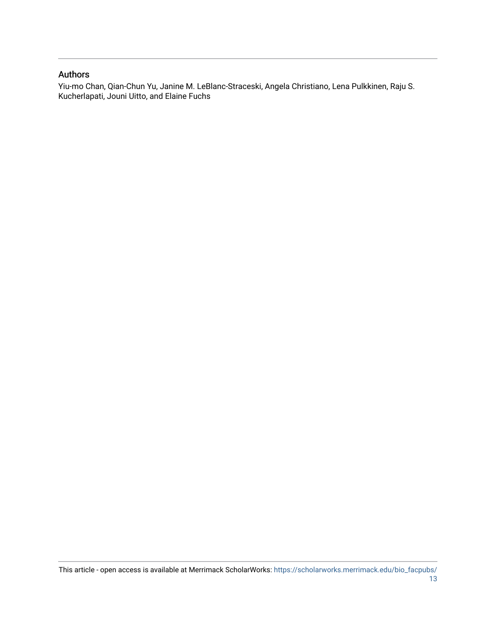# Authors

Yiu-mo Chan, Qian-Chun Yu, Janine M. LeBlanc-Straceski, Angela Christiano, Lena Pulkkinen, Raju S. Kucherlapati, Jouni Uitto, and Elaine Fuchs

This article - open access is available at Merrimack ScholarWorks: [https://scholarworks.merrimack.edu/bio\\_facpubs/](https://scholarworks.merrimack.edu/bio_facpubs/13) [13](https://scholarworks.merrimack.edu/bio_facpubs/13)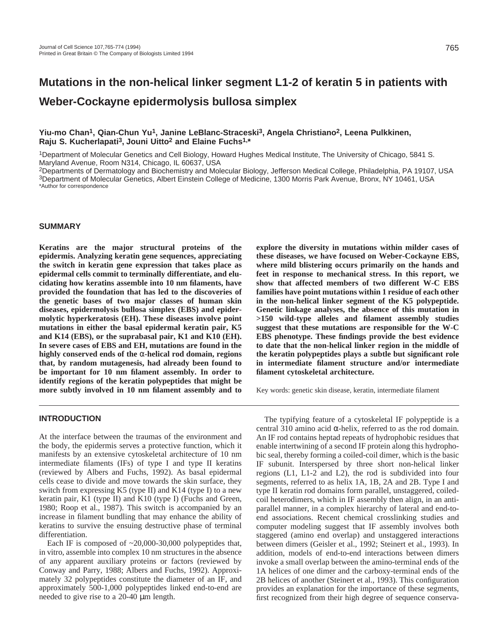# **Mutations in the non-helical linker segment L1-2 of keratin 5 in patients with Weber-Cockayne epidermolysis bullosa simplex**

# **Yiu-mo Chan1, Qian-Chun Yu1, Janine LeBlanc-Straceski3, Angela Christiano2, Leena Pulkkinen, Raju S. Kucherlapati3, Jouni Uitto2 and Elaine Fuchs1,\***

1Department of Molecular Genetics and Cell Biology, Howard Hughes Medical Institute, The University of Chicago, 5841 S. Maryland Avenue, Room N314, Chicago, IL 60637, USA

2Departments of Dermatology and Biochemistry and Molecular Biology, Jefferson Medical College, Philadelphia, PA 19107, USA 3Department of Molecular Genetics, Albert Einstein College of Medicine, 1300 Morris Park Avenue, Bronx, NY 10461, USA \*Author for correspondence

#### **SUMMARY**

**Keratins are the major structural proteins of the epidermis. Analyzing keratin gene sequences, appreciating the switch in keratin gene expression that takes place as epidermal cells commit to terminally differentiate, and elucidating how keratins assemble into 10 nm filaments, have provided the foundation that has led to the discoveries of the genetic bases of two major classes of human skin diseases, epidermolysis bullosa simplex (EBS) and epidermolytic hyperkeratosis (EH). These diseases involve point mutations in either the basal epidermal keratin pair, K5 and K14 (EBS), or the suprabasal pair, K1 and K10 (EH). In severe cases of EBS and EH, mutations are found in the highly conserved ends of the** α**-helical rod domain, regions that, by random mutagenesis, had already been found to be important for 10 nm filament assembly. In order to identify regions of the keratin polypeptides that might be more subtly involved in 10 nm filament assembly and to**

**explore the diversity in mutations within milder cases of these diseases, we have focused on Weber-Cockayne EBS, where mild blistering occurs primarily on the hands and feet in response to mechanical stress. In this report, we show that affected members of two different W-C EBS families have point mutations within 1 residue of each other in the non-helical linker segment of the K5 polypeptide. Genetic linkage analyses, the absence of this mutation in >150 wild-type alleles and filament assembly studies suggest that these mutations are responsible for the W-C EBS phenotype. These findings provide the best evidence to date that the non-helical linker region in the middle of the keratin polypeptides plays a subtle but significant role in intermediate filament structure and/or intermediate filament cytoskeletal architecture.**

Key words: genetic skin disease, keratin, intermediate filament

# **INTRODUCTION**

At the interface between the traumas of the environment and the body, the epidermis serves a protective function, which it manifests by an extensive cytoskeletal architecture of 10 nm intermediate filaments (IFs) of type I and type II keratins (reviewed by Albers and Fuchs, 1992). As basal epidermal cells cease to divide and move towards the skin surface, they switch from expressing K5 (type II) and K14 (type I) to a new keratin pair, K1 (type II) and K10 (type I) (Fuchs and Green, 1980; Roop et al., 1987). This switch is accompanied by an increase in filament bundling that may enhance the ability of keratins to survive the ensuing destructive phase of terminal differentiation.

Each IF is composed of  $\sim 20,000-30,000$  polypeptides that, in vitro, assemble into complex 10 nm structures in the absence of any apparent auxiliary proteins or factors (reviewed by Conway and Parry, 1988; Albers and Fuchs, 1992). Approximately 32 polypeptides constitute the diameter of an IF, and approximately 500-1,000 polypeptides linked end-to-end are needed to give rise to a 20-40 µm length.

The typifying feature of a cytoskeletal IF polypeptide is a central 310 amino acid α-helix, referred to as the rod domain. An IF rod contains heptad repeats of hydrophobic residues that enable intertwining of a second IF protein along this hydrophobic seal, thereby forming a coiled-coil dimer, which is the basic IF subunit. Interspersed by three short non-helical linker regions (L1, L1-2 and L2), the rod is subdivided into four segments, referred to as helix 1A, 1B, 2A and 2B. Type I and type II keratin rod domains form parallel, unstaggered, coiledcoil heterodimers, which in IF assembly then align, in an antiparallel manner, in a complex hierarchy of lateral and end-toend associations. Recent chemical crosslinking studies and computer modeling suggest that IF assembly involves both staggered (amino end overlap) and unstaggered interactions between dimers (Geisler et al., 1992; Steinert et al., 1993). In addition, models of end-to-end interactions between dimers invoke a small overlap between the amino-terminal ends of the 1A helices of one dimer and the carboxy-terminal ends of the 2B helices of another (Steinert et al., 1993). This configuration provides an explanation for the importance of these segments, first recognized from their high degree of sequence conserva-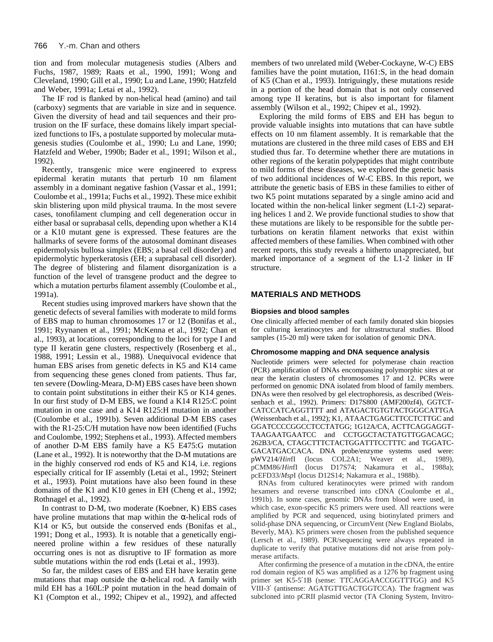tion and from molecular mutagenesis studies (Albers and Fuchs, 1987, 1989; Raats et al., 1990, 1991; Wong and Cleveland, 1990; Gill et al., 1990; Lu and Lane, 1990; Hatzfeld and Weber, 1991a; Letai et al., 1992).

The IF rod is flanked by non-helical head (amino) and tail (carboxy) segments that are variable in size and in sequence. Given the diversity of head and tail sequences and their protrusion on the IF surface, these domains likely impart specialized functions to IFs, a postulate supported by molecular mutagenesis studies (Coulombe et al., 1990; Lu and Lane, 1990; Hatzfeld and Weber, 1990b; Bader et al., 1991; Wilson et al., 1992).

Recently, transgenic mice were engineered to express epidermal keratin mutants that perturb 10 nm filament assembly in a dominant negative fashion (Vassar et al., 1991; Coulombe et al., 1991a; Fuchs et al., 1992). These mice exhibit skin blistering upon mild physical trauma. In the most severe cases, tonofilament clumping and cell degeneration occur in either basal or suprabasal cells, depending upon whether a K14 or a K10 mutant gene is expressed. These features are the hallmarks of severe forms of the autosomal dominant diseases epidermolysis bullosa simplex (EBS; a basal cell disorder) and epidermolytic hyperkeratosis (EH; a suprabasal cell disorder). The degree of blistering and filament disorganization is a function of the level of transgene product and the degree to which a mutation perturbs filament assembly (Coulombe et al., 1991a).

Recent studies using improved markers have shown that the genetic defects of several families with moderate to mild forms of EBS map to human chromosomes 17 or 12 (Bonifas et al., 1991; Ryynanen et al., 1991; McKenna et al., 1992; Chan et al., 1993), at locations corresponding to the loci for type I and type II keratin gene clusters, respectively (Rosenberg et al., 1988, 1991; Lessin et al., 1988). Unequivocal evidence that human EBS arises from genetic defects in K5 and K14 came from sequencing these genes cloned from patients. Thus far, ten severe (Dowling-Meara, D-M) EBS cases have been shown to contain point substitutions in either their K5 or K14 genes. In our first study of D-M EBS, we found a K14 R125:C point mutation in one case and a K14 R125:H mutation in another (Coulombe et al., 1991b). Seven additional D-M EBS cases with the R1-25:C/H mutation have now been identified (Fuchs and Coulombe, 1992; Stephens et al., 1993). Affected members of another D-M EBS family have a K5 E475:G mutation (Lane et al., 1992). It is noteworthy that the D-M mutations are in the highly conserved rod ends of K5 and K14, i.e. regions especially critical for IF assembly (Letai et al., 1992; Steinert et al., 1993). Point mutations have also been found in these domains of the K1 and K10 genes in EH (Cheng et al., 1992; Rothnagel et al., 1992).

In contrast to D-M, two moderate (Koebner, K) EBS cases have proline mutations that map within the α-helical rods of K14 or K5, but outside the conserved ends (Bonifas et al., 1991; Dong et al., 1993). It is notable that a genetically engineered proline within a few residues of these naturally occurring ones is not as disruptive to IF formation as more subtle mutations within the rod ends (Letai et al., 1993).

So far, the mildest cases of EBS and EH have keratin gene mutations that map outside the  $\alpha$ -helical rod. A family with mild EH has a 160L:P point mutation in the head domain of K1 (Compton et al., 1992; Chipev et al., 1992), and affected members of two unrelated mild (Weber-Cockayne, W-C) EBS families have the point mutation, I161:S, in the head domain of K5 (Chan et al., 1993). Intriguingly, these mutations reside in a portion of the head domain that is not only conserved among type II keratins, but is also important for filament assembly (Wilson et al., 1992; Chipev et al., 1992).

Exploring the mild forms of EBS and EH has begun to provide valuable insights into mutations that can have subtle effects on 10 nm filament assembly. It is remarkable that the mutations are clustered in the three mild cases of EBS and EH studied thus far. To determine whether there are mutations in other regions of the keratin polypeptides that might contribute to mild forms of these diseases, we explored the genetic basis of two additional incidences of W-C EBS. In this report, we attribute the genetic basis of EBS in these families to either of two K5 point mutations separated by a single amino acid and located within the non-helical linker segment (L1-2) separating helices 1 and 2. We provide functional studies to show that these mutations are likely to be responsible for the subtle perturbations on keratin filament networks that exist within affected members of these families. When combined with other recent reports, this study reveals a hitherto unappreciated, but marked importance of a segment of the L1-2 linker in IF structure.

# **MATERIALS AND METHODS**

#### **Biopsies and blood samples**

One clinically affected member of each family donated skin biopsies for culturing keratinocytes and for ultrastructural studies. Blood samples (15-20 ml) were taken for isolation of genomic DNA.

#### **Chromosome mapping and DNA sequence analysis**

Nucleotide primers were selected for polymerase chain reaction (PCR) amplification of DNAs encompassing polymorphic sites at or near the keratin clusters of chromosomes 17 and 12. PCRs were performed on genomic DNA isolated from blood of family members. DNAs were then resolved by gel electrophoresis, as described (Weissenbach et al., 1992). Primers: D17S800 (AMF200zf4), GGTCT-CATCCATCAGGTTTT and ATAGACTGTGTACTGGGCATTGA (Weissenbach et al., 1992); K1, ATAACTGAGCTTCCTCTTGC and GGATCCCCGGCCTCCTATGG; 1G12A/CA, ACTTCAGGAGGT-TAAGAATGAATCC and CCTGGCTACTATGTTGGACAGC; 262B3/CA, CTAGCTTTCTACTGGATTTCCTTTC and TGGATC-GACATGACCACA. DNA probe/enzyme systems used were: pWV214/*Hin*fI (locus COL2A1; Weaver et al., 1989), pCMM86/*Hin*fI (locus D17S74; Nakamura et al., 1988a); pcEFD33/*Msp*I (locus D12S14; Nakamura et al., 1988b).

RNAs from cultured keratinocytes were primed with random hexamers and reverse transcribed into cDNA (Coulombe et al., 1991b). In some cases, genomic DNAs from blood were used, in which case, exon-specific K5 primers were used. All reactions were amplified by PCR and sequenced, using biotinylated primers and solid-phase DNA sequencing, or CircumVent (New England Biolabs, Beverly, MA). K5 primers were chosen from the published sequence (Lersch et al., 1989). PCR/sequencing were always repeated in duplicate to verify that putative mutations did not arise from polymerase artifacts.

After confirming the presence of a mutation in the cDNA, the entire rod domain region of K5 was amplified as a 1276 bp fragment using primer set K5-5′1B (sense: TTCAGGAACCGGTTTGG) and K5 VIII-3′ (antisense: AGATGTTGACTGGTCCA). The fragment was subcloned into pCRII plasmid vector (TA Cloning System, Invitro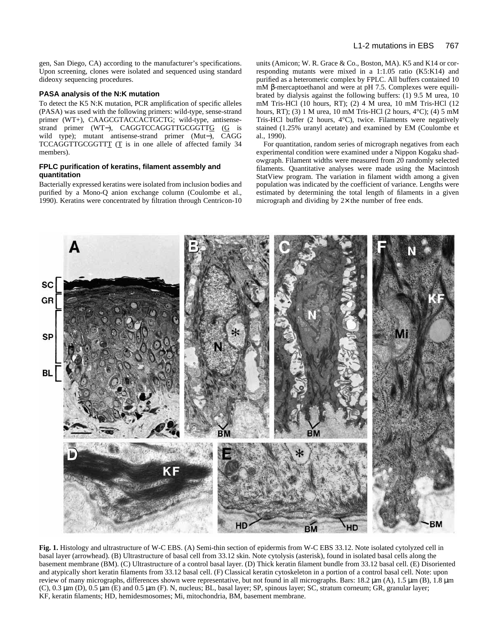gen, San Diego, CA) according to the manufacturer's specifications. Upon screening, clones were isolated and sequenced using standard dideoxy sequencing procedures.

#### **PASA analysis of the N:K mutation**

To detect the K5 N:K mutation, PCR amplification of specific alleles (PASA) was used with the following primers: wild-type, sense-strand primer (WT+), CAAGCGTACCACTGCTG; wild-type, antisensestrand primer (WT−), CAGGTCCAGGTTGCGGTTG (G is wild type); mutant antisense-strand primer (Mut−), CAGG TCCAGGTTGCGGTTT (T is in one allele of affected family 34 members).

#### **FPLC purification of keratins, filament assembly and quantitation**

Bacterially expressed keratins were isolated from inclusion bodies and purified by a Mono-Q anion exchange column (Coulombe et al., 1990). Keratins were concentrated by filtration through Centricon-10

units (Amicon; W. R. Grace & Co., Boston, MA). K5 and K14 or corresponding mutants were mixed in a 1:1.05 ratio (K5:K14) and purified as a heteromeric complex by FPLC. All buffers contained 10 mM β-mercaptoethanol and were at pH 7.5. Complexes were equilibrated by dialysis against the following buffers: (1) 9.5 M urea, 10 mM Tris-HCl (10 hours, RT); (2) 4 M urea, 10 mM Tris-HCl (12 hours, RT); (3) 1 M urea, 10 mM Tris-HCl (2 hours, 4°C); (4) 5 mM Tris-HCl buffer (2 hours, 4°C), twice. Filaments were negatively stained (1.25% uranyl acetate) and examined by EM (Coulombe et al., 1990).

For quantitation, random series of micrograph negatives from each experimental condition were examined under a Nippon Kogaku shadowgraph. Filament widths were measured from 20 randomly selected filaments. Quantitative analyses were made using the Macintosh StatView program. The variation in filament width among a given population was indicated by the coefficient of variance. Lengths were estimated by determining the total length of filaments in a given micrograph and dividing by  $2\times$  the number of free ends.



**Fig. 1.** Histology and ultrastructure of W-C EBS. (A) Semi-thin section of epidermis from W-C EBS 33.12. Note isolated cytolyzed cell in basal layer (arrowhead). (B) Ultrastructure of basal cell from 33.12 skin. Note cytolysis (asterisk), found in isolated basal cells along the basement membrane (BM). (C) Ultrastructure of a control basal layer. (D) Thick keratin filament bundle from 33.12 basal cell. (E) Disoriented and atypically short keratin filaments from 33.12 basal cell. (F) Classical keratin cytoskeleton in a portion of a control basal cell. Note: upon review of many micrographs, differences shown were representative, but not found in all micrographs. Bars: 18.2 µm (A), 1.5 µm (B), 1.8 µm (C), 0.3 µm (D), 0.5 µm (E) and 0.5 µm (F). N, nucleus; BL, basal layer; SP, spinous layer; SC, stratum corneum; GR, granular layer; KF, keratin filaments; HD, hemidesmosomes; Mi, mitochondria, BM, basement membrane.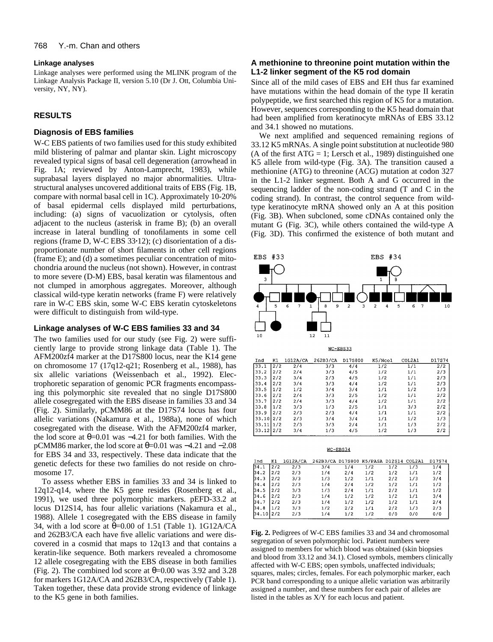#### **Linkage analyses**

Linkage analyses were performed using the MLINK program of the Linkage Analysis Package II, version 5.10 (Dr J. Ott, Columbia University, NY, NY).

### **RESULTS**

### **Diagnosis of EBS families**

W-C EBS patients of two families used for this study exhibited mild blistering of palmar and plantar skin. Light microscopy revealed typical signs of basal cell degeneration (arrowhead in Fig. 1A; reviewed by Anton-Lamprecht, 1983), while suprabasal layers displayed no major abnormalities. Ultrastructural analyses uncovered additional traits of EBS (Fig. 1B, compare with normal basal cell in 1C). Approximately 10-20% of basal epidermal cells displayed mild perturbations, including: (a) signs of vacuolization or cytolysis, often adjacent to the nucleus (asterisk in frame B); (b) an overall increase in lateral bundling of tonofilaments in some cell regions (frame D, W-C EBS 33**·**12); (c) disorientation of a disproportionate number of short filaments in other cell regions (frame E); and (d) a sometimes peculiar concentration of mitochondria around the nucleus (not shown). However, in contrast to more severe (D-M) EBS, basal keratin was filamentous and not clumped in amorphous aggregates. Moreover, although classical wild-type keratin networks (frame F) were relatively rare in W-C EBS skin, some W-C EBS keratin cytoskeletons were difficult to distinguish from wild-type.

#### **Linkage analyses of W-C EBS families 33 and 34**

The two families used for our study (see Fig. 2) were sufficiently large to provide strong linkage data (Table 1). The AFM200zf4 marker at the D17S800 locus, near the K14 gene on chromosome 17 (17q12-q21; Rosenberg et al., 1988), has six allelic variations (Weissenbach et al., 1992). Electrophoretic separation of genomic PCR fragments encompassing this polymorphic site revealed that no single D17S800 allele cosegregated with the EBS disease in families 33 and 34 (Fig. 2). Similarly, pCMM86 at the D17S74 locus has four allelic variations (Nakamura et al., 1988a), none of which cosegregated with the disease. With the AFM200zf4 marker, the lod score at  $\theta$ =0.01 was −4.21 for both families. With the pCMM86 marker, the lod score at  $\theta$ =0.01 was -4.21 and -2.08 for EBS 34 and 33, respectively. These data indicate that the genetic defects for these two families do not reside on chromosome 17.

To assess whether EBS in families 33 and 34 is linked to 12q12-q14, where the K5 gene resides (Rosenberg et al., 1991), we used three polymorphic markers. pEFD-33.2 at locus D12S14, has four allelic variations (Nakamura et al., 1988). Allele 1 cosegregated with the EBS disease in family 34, with a lod score at  $\theta$ =0.00 of 1.51 (Table 1). 1G12A/CA and 262B3/CA each have five allelic variations and were discovered in a cosmid that maps to 12q13 and that contains a keratin-like sequence. Both markers revealed a chromosome 12 allele cosegregating with the EBS disease in both families (Fig. 2). The combined lod score at  $\theta$ =0.00 was 3.92 and 3.28 for markers 1G12A/CA and 262B3/CA, respectively (Table 1). Taken together, these data provide strong evidence of linkage to the K5 gene in both families.

# **A methionine to threonine point mutation within the L1-2 linker segment of the K5 rod domain**

Since all of the mild cases of EBS and EH thus far examined have mutations within the head domain of the type II keratin polypeptide, we first searched this region of K5 for a mutation. However, sequences corresponding to the K5 head domain that had been amplified from keratinocyte mRNAs of EBS 33.12 and 34.1 showed no mutations.

We next amplified and sequenced remaining regions of 33.12 K5 mRNAs. A single point substitution at nucleotide 980 (A of the first  $ATG = 1$ ; Lersch et al., 1989) distinguished one K5 allele from wild-type (Fig. 3A). The transition caused a methionine (ATG) to threonine (ACG) mutation at codon 327 in the L1-2 linker segment. Both A and G occurred in the sequencing ladder of the non-coding strand (T and C in the coding strand). In contrast, the control sequence from wildtype keratinocyte mRNA showed only an A at this position (Fig. 3B). When subcloned, some cDNAs contained only the mutant G (Fig. 3C), while others contained the wild-type A (Fig. 3D). This confirmed the existence of both mutant and



**Fig. 2.** Pedigrees of W-C EBS families 33 and 34 and chromosomal segregation of seven polymorphic loci. Patient numbers were assigned to members for which blood was obtained (skin biopsies and blood from 33.12 and 34.1). Closed symbols, members clinically affected with W-C EBS; open symbols, unaffected individuals; squares, males; circles, females. For each polymorphic marker, each PCR band corresponding to a unique allelic variation was arbitrarily assigned a number, and these numbers for each pair of alleles are listed in the tables as X/Y for each locus and patient.

 $2/2$ 

 $1/2$ 

 $1/1$ 

 $1/2$ 

 $2/2$ 

 $0/0$ 

 $1/3$ 

 $0/0$ 

 $2/3$ 

 $0/0$ 

34.8  $1/2$ 

 $34.10$  $2/2$   $3/3$ 

 $2/3$ 

 $1/2$ 

 $1/4$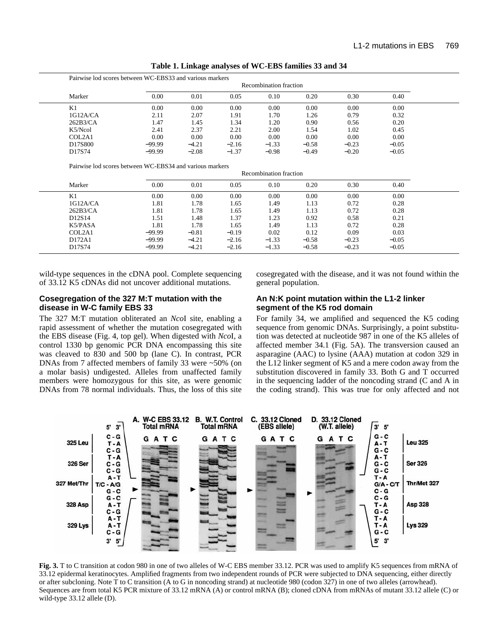|          | Pairwise lod scores between WC-EBS33 and various markers<br>Recombination fraction |         |         |         |         |         |         |  |  |
|----------|------------------------------------------------------------------------------------|---------|---------|---------|---------|---------|---------|--|--|
| Marker   | 0.00                                                                               | 0.01    | 0.05    | 0.10    | 0.20    | 0.30    | 0.40    |  |  |
| K1       | 0.00                                                                               | 0.00    | 0.00    | 0.00    | 0.00    | 0.00    | 0.00    |  |  |
| 1G12A/CA | 2.11                                                                               | 2.07    | 1.91    | 1.70    | 1.26    | 0.79    | 0.32    |  |  |
| 262B3/CA | 1.47                                                                               | 1.45    | 1.34    | 1.20    | 0.90    | 0.56    | 0.20    |  |  |
| K5/Ncol  | 2.41                                                                               | 2.37    | 2.21    | 2.00    | 1.54    | 1.02    | 0.45    |  |  |
| COL2A1   | 0.00                                                                               | 0.00    | 0.00    | 0.00    | 0.00    | 0.00    | 0.00    |  |  |
| D17S800  | $-99.99$                                                                           | $-4.21$ | $-2.16$ | $-1.33$ | $-0.58$ | $-0.23$ | $-0.05$ |  |  |
| D17S74   | $-99.99$                                                                           | $-2.08$ | $-1.37$ | $-0.98$ | $-0.49$ | $-0.20$ | $-0.05$ |  |  |

**Table 1. Linkage analyses of WC-EBS families 33 and 34**

Pairwise lod scores between WC-EBS34 and various markers

| Marker                          | Recombination fraction |         |         |         |         |         |         |  |
|---------------------------------|------------------------|---------|---------|---------|---------|---------|---------|--|
|                                 | 0.00                   | 0.01    | 0.05    | 0.10    | 0.20    | 0.30    | 0.40    |  |
| K1                              | 0.00                   | 0.00    | 0.00    | 0.00    | 0.00    | 0.00    | 0.00    |  |
| 1G12A/CA                        | 1.81                   | 1.78    | 1.65    | 1.49    | 1.13    | 0.72    | 0.28    |  |
| 262B3/CA                        | 1.81                   | 1.78    | 1.65    | 1.49    | 1.13    | 0.72    | 0.28    |  |
| D <sub>12</sub> S <sub>14</sub> | 1.51                   | 1.48    | 1.37    | 1.23    | 0.92    | 0.58    | 0.21    |  |
| K5/PASA                         | 1.81                   | 1.78    | 1.65    | 1.49    | 1.13    | 0.72    | 0.28    |  |
| COL2A1                          | $-99.99$               | $-0.81$ | $-0.19$ | 0.02    | 0.12    | 0.09    | 0.03    |  |
| D172A1                          | $-99.99$               | $-4.21$ | $-2.16$ | $-1.33$ | $-0.58$ | $-0.23$ | $-0.05$ |  |
| D17S74                          | $-99.99$               | $-4.21$ | $-2.16$ | $-1.33$ | $-0.58$ | $-0.23$ | $-0.05$ |  |

wild-type sequences in the cDNA pool. Complete sequencing of 33.12 K5 cDNAs did not uncover additional mutations.

# **Cosegregation of the 327 M:T mutation with the disease in W-C family EBS 33**

The 327 M:T mutation obliterated an *Nco*I site, enabling a rapid assessment of whether the mutation cosegregated with the EBS disease (Fig. 4, top gel). When digested with *Nco*I, a control 1330 bp genomic PCR DNA encompassing this site was cleaved to 830 and 500 bp (lane C). In contrast, PCR DNAs from 7 affected members of family 33 were ~50% (on a molar basis) undigested. Alleles from unaffected family members were homozygous for this site, as were genomic DNAs from 78 normal individuals. Thus, the loss of this site cosegregated with the disease, and it was not found within the general population.

# **An N:K point mutation within the L1-2 linker segment of the K5 rod domain**

For family 34, we amplified and sequenced the K5 coding sequence from genomic DNAs. Surprisingly, a point substitution was detected at nucleotide 987 in one of the K5 alleles of affected member 34.1 (Fig. 5A). The transversion caused an asparagine (AAC) to lysine (AAA) mutation at codon 329 in the L12 linker segment of K5 and a mere codon away from the substitution discovered in family 33. Both G and T occurred in the sequencing ladder of the noncoding strand (C and A in the coding strand). This was true for only affected and not



Fig. 3. T to C transition at codon 980 in one of two alleles of W-C EBS member 33.12. PCR was used to amplify K5 sequences from mRNA of 33.12 epidermal keratinocytes. Amplified fragments from two independent rounds of PCR were subjected to DNA sequencing, either directly or after subcloning. Note T to C transition (A to G in noncoding strand) at nucleotide 980 (codon 327) in one of two alleles (arrowhead). Sequences are from total K5 PCR mixture of 33.12 mRNA (A) or control mRNA (B); cloned cDNA from mRNAs of mutant 33.12 allele (C) or wild-type 33.12 allele (D).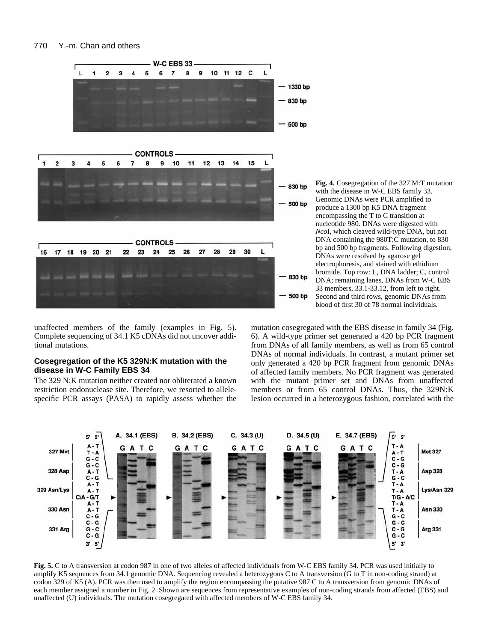

**Fig. 4.** Cosegregation of the 327 M:T mutation with the disease in W-C EBS family 33. Genomic DNAs were PCR amplified to produce a 1300 bp K5 DNA fragment encompassing the T to C transition at nucleotide 980. DNAs were digested with *Nco*I, which cleaved wild-type DNA, but not DNA containing the 980T:C mutation, to 830 bp and 500 bp fragments. Following digestion, DNAs were resolved by agarose gel electrophoresis, and stained with ethidium bromide. Top row: L, DNA ladder; C, control DNA; remaining lanes, DNAs from W-C EBS 33 members, 33.1-33.12, from left to right. Second and third rows, genomic DNAs from blood of first 30 of 78 normal individuals.

unaffected members of the family (examples in Fig. 5). Complete sequencing of 34.1 K5 cDNAs did not uncover additional mutations.

# **Cosegregation of the K5 329N:K mutation with the disease in W-C Family EBS 34**

The 329 N:K mutation neither created nor obliterated a known restriction endonuclease site. Therefore, we resorted to allelespecific PCR assays (PASA) to rapidly assess whether the mutation cosegregated with the EBS disease in family 34 (Fig. 6). A wild-type primer set generated a 420 bp PCR fragment from DNAs of all family members, as well as from 65 control DNAs of normal individuals. In contrast, a mutant primer set only generated a 420 bp PCR fragment from genomic DNAs of affected family members. No PCR fragment was generated with the mutant primer set and DNAs from unaffected members or from 65 control DNAs. Thus, the 329N:K lesion occurred in a heterozygous fashion, correlated with the



**Fig. 5.** C to A transversion at codon 987 in one of two alleles of affected individuals from W-C EBS family 34. PCR was used initially to amplify K5 sequences from 34.1 genomic DNA. Sequencing revealed a heterozygous C to A transversion (G to T in non-coding strand) at codon 329 of K5 (A). PCR was then used to amplify the region encompassing the putative 987 C to A transversion from genomic DNAs of each member assigned a number in Fig. 2. Shown are sequences from representative examples of non-coding strands from affected (EBS) and unaffected (U) individuals. The mutation cosegregated with affected members of W-C EBS family 34.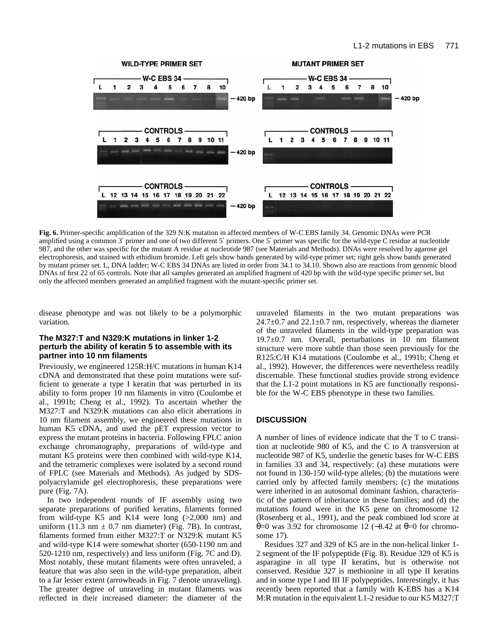

**Fig. 6.** Primer-specific amplification of the 329 N:K mutation in affected members of W-C EBS family 34. Genomic DNAs were PCR amplified using a common 3′ primer and one of two different 5′ primers. One 5′ primer was specific for the wild-type C residue at nucleotide 987, and the other was specific for the mutant A residue at nucleotide 987 (see Materials and Methods). DNAs were resolved by agarose gel electrophoresis, and stained with ethidium bromide. Left gels show bands generated by wild-type primer set; right gels show bands generated by mutant primer set. L, DNA ladder; W-C EBS 34 DNAs are listed in order from 34.1 to 34.10. Shown also are reactions from genomic blood DNAs of first 22 of 65 controls. Note that all samples generated an amplified fragment of 420 bp with the wild-type specific primer set, but only the affected members generated an amplified fragment with the mutant-specific primer set.

disease phenotype and was not likely to be a polymorphic variation.

# **The M327:T and N329:K mutations in linker 1-2 perturb the ability of keratin 5 to assemble with its partner into 10 nm filaments**

Previously, we engineered 125R:H/C mutations in human K14 cDNA and demonstrated that these point mutations were sufficient to generate a type I keratin that was perturbed in its ability to form proper 10 nm filaments in vitro (Coulombe et al., 1991b; Cheng et al., 1992). To ascertain whether the M327:T and N329:K mutations can also elicit aberrations in 10 nm filament assembly, we engineered these mutations in human K5 cDNA, and used the pET expression vector to express the mutant proteins in bacteria. Following FPLC anion exchange chromatography, preparations of wild-type and mutant K5 proteins were then combined with wild-type K14, and the tetrameric complexes were isolated by a second round of FPLC (see Materials and Methods). As judged by SDSpolyacrylamide gel electrophoresis, these preparations were pure (Fig. 7A).

In two independent rounds of IF assembly using two separate preparations of purified keratins, filaments formed from wild-type K5 and K14 were long  $(>2,000 \text{ nm})$  and uniform (11.3 nm  $\pm$  0.7 nm diameter) (Fig. 7B). In contrast, filaments formed from either M327:T or N329:K mutant K5 and wild-type K14 were somewhat shorter (650-1190 nm and 520-1210 nm, respectively) and less uniform (Fig. 7C and D). Most notably, these mutant filaments were often unraveled, a feature that was also seen in the wild-type preparation, albeit to a far lesser extent (arrowheads in Fig. 7 denote unraveling). The greater degree of unraveling in mutant filaments was reflected in their increased diameter: the diameter of the

unraveled filaments in the two mutant preparations was  $24.7\pm0.7$  and  $22.1\pm0.7$  nm, respectively, whereas the diameter of the unraveled filaments in the wild-type preparation was 19.7±0.7 nm. Overall, perturbations in 10 nm filament structure were more subtle than those seen previously for the R125:C/H K14 mutations (Coulombe et al., 1991b; Cheng et al., 1992). However, the differences were nevertheless readily discernable. These functional studies provide strong evidence that the L1-2 point mutations in K5 are functionally responsible for the W-C EBS phenotype in these two families.

# **DISCUSSION**

A number of lines of evidence indicate that the T to C transition at nucleotide 980 of K5, and the C to A transversion at nucleotide 987 of K5, underlie the genetic bases for W-C EBS in families 33 and 34, respectively: (a) these mutations were not found in 130-150 wild-type alleles; (b) the mutations were carried only by affected family members; (c) the mutations were inherited in an autosomal dominant fashion, characteristic of the pattern of inheritance in these families; and (d) the mutations found were in the K5 gene on chromosome 12 (Rosenberg et al., 1991), and the peak combined lod score at θ=0 was 3.92 for chromosome 12 (−8.42 at  $\theta$ =0 for chromosome 17).

Residues 327 and 329 of K5 are in the non-helical linker 1- 2 segment of the IF polypeptide (Fig. 8). Residue 329 of K5 is asparagine in all type II keratins, but is otherwise not conserved. Residue 327 is methionine in all type II keratins and in some type I and III IF polypeptides. Interestingly, it has recently been reported that a family with K-EBS has a K14 M:R mutation in the equivalent L1-2 residue to our K5 M327:T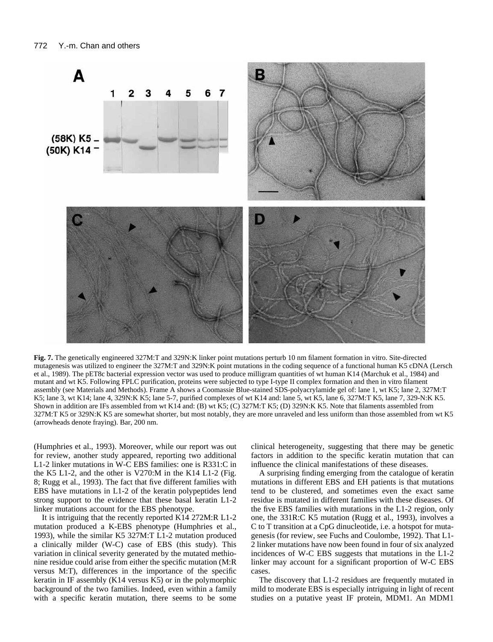

**Fig. 7.** The genetically engineered 327M:T and 329N:K linker point mutations perturb 10 nm filament formation in vitro. Site-directed mutagenesis was utilized to engineer the 327M:T and 329N:K point mutations in the coding sequence of a functional human K5 cDNA (Lersch et al., 1989). The pET8c bacterial expression vector was used to produce milligram quantities of wt human K14 (Marchuk et al., 1984) and mutant and wt K5. Following FPLC purification, proteins were subjected to type I-type II complex formation and then in vitro filament assembly (see Materials and Methods). Frame A shows a Coomassie Blue-stained SDS-polyacrylamide gel of: lane 1, wt K5; lane 2, 327M:T K5; lane 3, wt K14; lane 4, 329N:K K5; lane 5-7, purified complexes of wt K14 and: lane 5, wt K5, lane 6, 327M:T K5, lane 7, 329-N:K K5. Shown in addition are IFs assembled from wt K14 and: (B) wt K5; (C) 327M:T K5; (D) 329N:K K5. Note that filaments assembled from 327M:T K5 or 329N:K K5 are somewhat shorter, but most notably, they are more unraveled and less uniform than those assembled from wt K5 (arrowheads denote fraying). Bar, 200 nm.

(Humphries et al., 1993). Moreover, while our report was out for review, another study appeared, reporting two additional L1-2 linker mutations in W-C EBS families: one is R331:C in the K5 L1-2, and the other is V270:M in the K14 L1-2 (Fig. 8; Rugg et al., 1993). The fact that five different families with EBS have mutations in L1-2 of the keratin polypeptides lend strong support to the evidence that these basal keratin L1-2 linker mutations account for the EBS phenotype.

It is intriguing that the recently reported K14 272M:R L1-2 mutation produced a K-EBS phenotype (Humphries et al., 1993), while the similar K5 327M:T L1-2 mutation produced a clinically milder (W-C) case of EBS (this study). This variation in clinical severity generated by the mutated methionine residue could arise from either the specific mutation (M:R versus M:T), differences in the importance of the specific keratin in IF assembly (K14 versus K5) or in the polymorphic background of the two families. Indeed, even within a family with a specific keratin mutation, there seems to be some clinical heterogeneity, suggesting that there may be genetic factors in addition to the specific keratin mutation that can influence the clinical manifestations of these diseases.

A surprising finding emerging from the catalogue of keratin mutations in different EBS and EH patients is that mutations tend to be clustered, and sometimes even the exact same residue is mutated in different families with these diseases. Of the five EBS families with mutations in the L1-2 region, only one, the 331R:C K5 mutation (Rugg et al., 1993), involves a C to T transition at a CpG dinucleotide, i.e. a hotspot for mutagenesis (for review, see Fuchs and Coulombe, 1992). That L1- 2 linker mutations have now been found in four of six analyzed incidences of W-C EBS suggests that mutations in the L1-2 linker may account for a significant proportion of W-C EBS cases.

The discovery that L1-2 residues are frequently mutated in mild to moderate EBS is especially intriguing in light of recent studies on a putative yeast IF protein, MDM1. An MDM1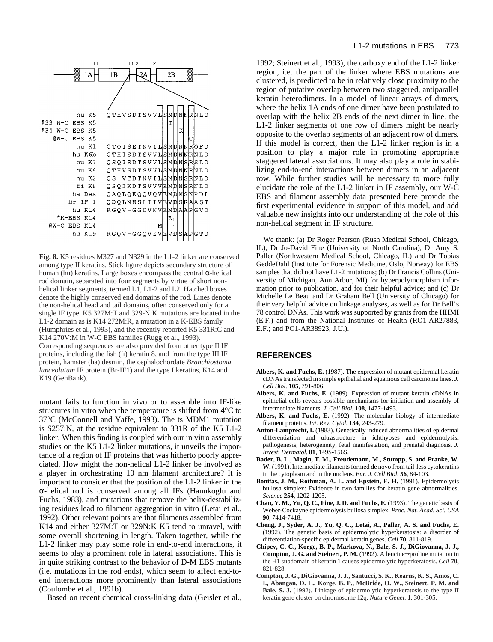

**Fig. 8.** K5 residues M327 and N329 in the L1-2 linker are conserved among type II keratins. Stick figure depicts secondary structure of human (hu) keratins. Large boxes encompass the central α-helical rod domain, separated into four segments by virtue of short nonhelical linker segments, termed L1, L1-2 and L2. Hatched boxes denote the highly conserved end domains of the rod. Lines denote the non-helical head and tail domains, often conserved only for a single IF type. K5 327M:T and 329-N:K mutations are located in the L1-2 domain as is K14 272M:R, a mutation in a K-EBS family (Humphries et al., 1993), and the recently reported K5 331R:C and K14 270V:M in W-C EBS families (Rugg et al., 1993). Corresponding sequences are also provided from other type II IF proteins, including the fish (fi) keratin 8, and from the type III IF protein, hamster (ha) desmin, the cephalochordate *Branchiostoma lanceolatum* IF protein (Br-IF1) and the type I keratins, K14 and K19 (GenBank).

mutant fails to function in vivo or to assemble into IF-like structures in vitro when the temperature is shifted from 4°C to 37°C (McConnell and Yaffe, 1993). The ts MDM1 mutation is S257:N, at the residue equivalent to 331R of the K5 L1-2 linker. When this finding is coupled with our in vitro assembly studies on the K5 L1-2 linker mutations, it unveils the importance of a region of IF proteins that was hitherto poorly appreciated. How might the non-helical L1-2 linker be involved as a player in orchestrating 10 nm filament architecture? It is important to consider that the position of the L1-2 linker in the α-helical rod is conserved among all IFs (Hanukoglu and Fuchs, 1983), and mutations that remove the helix-destabilizing residues lead to filament aggregation in vitro (Letai et al., 1992). Other relevant points are that filaments assembled from K14 and either 327M:T or 329N:K K5 tend to unravel, with some overall shortening in length. Taken together, while the L1-2 linker may play some role in end-to-end interactions, it seems to play a prominent role in lateral associations. This is in quite striking contrast to the behavior of D-M EBS mutants (i.e. mutations in the rod ends), which seem to affect end-toend interactions more prominently than lateral associations (Coulombe et al., 1991b).

Based on recent chemical cross-linking data (Geisler et al.,

1992; Steinert et al., 1993), the carboxy end of the L1-2 linker region, i.e. the part of the linker where EBS mutations are clustered, is predicted to be in relatively close proximity to the region of putative overlap between two staggered, antiparallel keratin heterodimers. In a model of linear arrays of dimers, where the helix 1A ends of one dimer have been postulated to overlap with the helix 2B ends of the next dimer in line, the L1-2 linker segments of one row of dimers might be nearly opposite to the overlap segments of an adjacent row of dimers. If this model is correct, then the L1-2 linker region is in a position to play a major role in promoting appropriate staggered lateral associations. It may also play a role in stabilizing end-to-end interactions between dimers in an adjacent row. While further studies will be necessary to more fully elucidate the role of the L1-2 linker in IF assembly, our W-C EBS and filament assembly data presented here provide the first experimental evidence in support of this model, and add valuable new insights into our understanding of the role of this non-helical segment in IF structure.

We thank: (a) Dr Roger Pearson (Rush Medical School, Chicago, IL), Dr Jo-David Fine (University of North Carolina), Dr Amy S. Paller (Northwestern Medical School, Chicago, IL) and Dr Tobias GeddeDahl (Institute for Forensic Medicine, Oslo, Norway) for EBS samples that did not have L1-2 mutations; (b) Dr Francis Collins (University of Michigan, Ann Arbor, MI) for hyperpolymorphism information prior to publication, and for their helpful advice; and (c) Dr Michelle Le Beau and Dr Graham Bell (University of Chicago) for their very helpful advice on linkage analyses, as well as for Dr Bell's 78 control DNAs. This work was supported by grants from the HHMI (E.F.) and from the National Institutes of Health (RO1-AR27883, E.F.; and PO1-AR38923, J.U.).

#### **REFERENCES**

- **Albers, K. and Fuchs, E.** (1987). The expression of mutant epidermal keratin cDNAs transfected in simple epithelial and squamous cell carcinoma lines. *J. Cell Biol.* **105**, 791-806.
- **Albers, K. and Fuchs, E.** (1989). Expression of mutant keratin cDNAs in epithelial cells reveals possible mechanisms for initiation and assembly of intermediate filaments. *J. Cell Biol.* **108**, 1477-1493.
- **Albers, K. and Fuchs, E.** (1992). The molecular biology of intermediate filament proteins. *Int. Rev. Cytol.* **134**, 243-279.
- **Anton-Lamprecht, I.** (1983). Genetically induced abnormalities of epidermal differentiation and ultrastructure in ichthyoses and epidermolysis: pathogenesis, heterogeneity, fetal manifestation, and prenatal diagnosis. *J. Invest. Dermatol.* **81**, 149S-156S.
- **Bader, B. L., Magin, T. M., Freudemann, M., Stumpp, S. and Franke, W. W.** (1991). Intermediate filaments formed de novo from tail-less cytokeratins in the cytoplasm and in the nucleus. *Eur. J. Cell Biol.* **56**, 84-103.
- **Bonifas, J. M., Rothman, A. L. and Epstein, E. H.** (1991). Epidermolysis bullosa simplex: Evidence in two families for keratin gene abnormalities. *Science* **254**, 1202-1205.
- **Chan, Y. M., Yu, Q. C., Fine, J. D. and Fuchs, E.** (1993). The genetic basis of Weber-Cockayne epidermolysis bullosa simplex. *Proc. Nat. Acad. Sci. USA* **90**, 7414-7418.
- **Cheng, J., Syder, A. J., Yu, Q. C., Letai, A., Paller, A. S. and Fuchs, E.** (1992). The genetic basis of epidermolytic hyperkeratosis: a disorder of differentiation-specific epidermal keratin genes. *Cell* **70**, 811-819.
- **Chipev, C. C., Korge, B. P., Markova, N., Bale, S. J., DiGiovanna, J. J., Compton, J. G. and Steinert, P. M.** (1992). A leucine→proline mutation in the H1 subdomain of keratin 1 causes epidermolytic hyperkeratosis. *Cell* **70**, 821-828.
- **Compton, J. G., DiGiovanna, J. J., Santucci, S. K., Kearns, K. S., Amos, C. I., Abangan, D. L., Korge, B. P., McBride, O. W., Steinert, P. M. and Bale, S. J.** (1992). Linkage of epidermolytic hyperkeratosis to the type II keratin gene cluster on chromosome 12q. *Nature Genet.* **1**, 301-305.